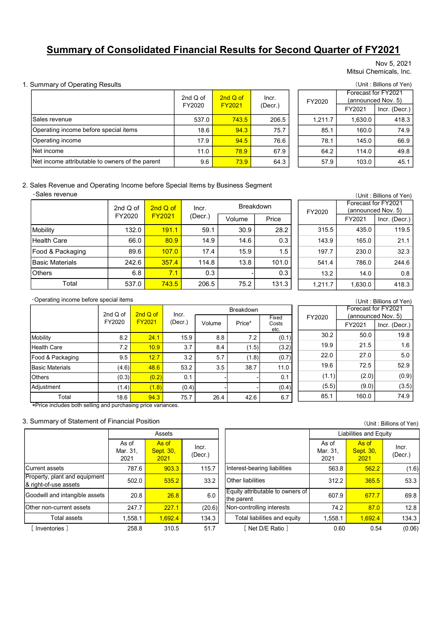# Summary of Consolidated Financial Results for Second Quarter of FY2021

### 1. Summary of Operating Results (Unit : Billions of Yen)

|                                                                                              |          |               |                    |                             |                  |         |        | Nov 5, 2021<br>Mitsui Chemicals, Inc.                                |
|----------------------------------------------------------------------------------------------|----------|---------------|--------------------|-----------------------------|------------------|---------|--------|----------------------------------------------------------------------|
| <b>Summary of Operating Results</b>                                                          |          |               |                    |                             |                  |         |        | (Unit: Billions of Yen)                                              |
|                                                                                              |          |               | 2nd Q of<br>FY2020 | $2nd$ Q of<br><b>FY2021</b> | Incr.<br>(Decr.) | FY2020  |        | Forecast for FY2021<br>(announced Nov. 5)                            |
|                                                                                              |          |               |                    |                             |                  |         | FY2021 | Incr. (Decr.)                                                        |
| Sales revenue                                                                                |          | 537.0         | 743.5              | 206.5                       | 1.211.7          | 1.630.0 | 418.3  |                                                                      |
| Operating income before special items                                                        |          |               | 18.6               | 94.3                        | 75.7             | 85.1    | 160.0  | 74.9                                                                 |
| Operating income                                                                             |          | 17.9          | 94.5               | 76.6                        | 78.1             | 145.0   | 66.9   |                                                                      |
| Net income                                                                                   |          |               | 11.0               | 78.9                        | 67.9             | 64.2    | 114.0  | 49.8                                                                 |
| Net income attributable to owners of the parent                                              |          |               | 9.6                | 73.9                        | 64.3             | 57.9    | 103.0  | 45.1                                                                 |
| Sales Revenue and Operating Income before Special Items by Business Segment<br>Sales revenue | 2nd Q of | 2ndQof        | Incr.              |                             | <b>Breakdown</b> | FY2020  |        | (Unit: Billions of Yen)<br>Forecast for FY2021<br>(announced Nov. 5) |
|                                                                                              | FY2020   | <b>FY2021</b> | (Decr.)            | Volume                      | Price            |         | FY2021 | Incr. (Decr.)                                                        |
| Mobility                                                                                     | 132.0    | 191.1         | 59.1               | 30.9                        | 28.2             | 315.5   | 435.0  | 119.5                                                                |
| <b>Health Care</b>                                                                           | 66.0     | 80.9          | 14.9               | 14.6                        | 0.3              | 143.9   | 165.0  | 21.1                                                                 |
| Food & Packaging                                                                             | 89.6     | 107.0         | 17.4               | 15.9                        | 1.5              | 197.7   | 230.0  | 32.3                                                                 |
|                                                                                              |          |               |                    |                             |                  |         |        |                                                                      |
| <b>Basic Materials</b>                                                                       | 242.6    | 357.4         | 114.8              | 13.8                        | 101.0            | 541.4   | 786.0  | 244.6                                                                |

|             |                           |                  | ncial Results for Second Quarter of FY2021 |         |                                                            |
|-------------|---------------------------|------------------|--------------------------------------------|---------|------------------------------------------------------------|
|             |                           |                  |                                            |         | Nov 5, 2021<br>Mitsui Chemicals, Inc.                      |
|             |                           |                  |                                            |         | (Unit: Billions of Yen)                                    |
| Q of<br>020 | 2nd Q of<br><b>FY2021</b> | Incr.<br>(Decr.) | FY2020                                     | FY2021  | Forecast for FY2021<br>(announced Nov. 5)<br>Incr. (Decr.) |
| 537.0       | 743.5                     | 206.5            | 1,211.7                                    | 1,630.0 | 418.3                                                      |
| 18.6        | 94.3                      | 75.7             | 85.1                                       | 160.0   | 74.9                                                       |
| 17.9        | 94.5                      | 76.6             | 78.1                                       | 145.0   | 66.9                                                       |
| 11.0        | 78.9                      | 67.9             | 64.2                                       | 114.0   | 49.8                                                       |
| 9.6         | 73.9                      | 64.3             | 57.9                                       | 103.0   | 45.1                                                       |
|             | ems by Business Segment   |                  |                                            |         | (Unit: Billions of Yen)<br>Forecast for FY2021             |
| Incr.       |                           | <b>Breakdown</b> | FY2020                                     |         | (announced Nov. 5)                                         |
| (Decr.      | Volume                    | Price            |                                            | FY2021  | Incr. (Decr.)                                              |
| 59.1        | 30.9                      | 28.2             | 315.5                                      | 435.0   | 119.5                                                      |
| 14.9        | 14.6                      | 0.3              | 143.9                                      | 165.0   | 21.1                                                       |
| 17.4        | 15.9                      | 1.5              | 197.7                                      | 230.0   | 32.3                                                       |
| 114.8       | 13.8                      | 101.0            | 541.4                                      | 786.0   | 244.6                                                      |

### 2. Sales Revenue and Operating Income before Special Items by Business Segment

| <b>Summary of Consolidated Financial Results for Second Quarter of FY2021</b> |                                       |                      |                    |                  |                    |                    |                  |                 |                 |                                           |
|-------------------------------------------------------------------------------|---------------------------------------|----------------------|--------------------|------------------|--------------------|--------------------|------------------|-----------------|-----------------|-------------------------------------------|
|                                                                               |                                       |                      |                    |                  |                    |                    |                  |                 |                 | Nov 5, 2021<br>Mitsui Chemicals, Inc.     |
| <b>Summary of Operating Results</b>                                           |                                       |                      |                    |                  |                    |                    |                  |                 |                 | (Unit: Billions of Yen)                   |
|                                                                               |                                       |                      |                    |                  | 2nd Q of<br>FY2020 | 2nd Q of<br>FY2021 | Incr.<br>(Decr.) | FY2020          |                 | Forecast for FY2021<br>(announced Nov. 5) |
|                                                                               |                                       |                      |                    |                  |                    |                    |                  |                 | FY2021          | Incr. (Decr.)                             |
| Sales revenue                                                                 |                                       |                      |                    |                  | 537.0              | 743.5              | 206.5            | 1,211.7         | 1,630.0         | 418.3                                     |
|                                                                               | Operating income before special items |                      |                    |                  | 18.6               | 94.3               | 75.7             | 85.1            | 160.0           | 74.9                                      |
| Operating income                                                              |                                       |                      |                    |                  | 17.9               | 94.5               | 76.6             | 78.1            | 145.0           | 66.9                                      |
| Net income                                                                    |                                       |                      |                    |                  | 11.0               | 78.9               | 67.9             | 64.2            | 114.0           | 49.8                                      |
| Net income attributable to owners of the parent                               |                                       |                      |                    |                  | 9.6                | 73.9               | 64.3             | 57.9            | 103.0           | 45.1                                      |
|                                                                               |                                       | 2nd $Q$ of<br>FY2020 | FY2021             | 2ndQof           | Incr.              |                    |                  | FY2020          |                 | (announced Nov. 5)                        |
|                                                                               |                                       |                      |                    |                  |                    |                    | Breakdown        |                 |                 | Forecast for FY2021                       |
|                                                                               |                                       |                      |                    |                  | (Decr.)            | Volume             | Price            |                 | FY2021          | Incr. (Decr.)                             |
| Mobility                                                                      |                                       | 132.0                |                    | 191.1            | 59.1               | 30.9               | 28.2             | 315.5           | 435.0           | 119.5                                     |
| <b>Health Care</b>                                                            |                                       | 66.0                 |                    | 80.9             | 14.9               | 14.6               | 0.3              | 143.9           | 165.0           | 21.1                                      |
| Food & Packaging                                                              |                                       | 89.6                 |                    | 107.0            | 17.4               | 15.9               | 1.5              | 197.7           | 230.0           | 32.3                                      |
| <b>Basic Materials</b>                                                        |                                       | 242.6                |                    | 357.4            | 114.8              | 13.8               | 101.0            | 541.4           | 786.0           | 244.6                                     |
| Others                                                                        |                                       | 6.8                  |                    | 7.1              | 0.3                |                    | 0.3              | 13.2            | 14.0            | 0.8                                       |
| Total                                                                         |                                       | 537.0                |                    | 743.5            | 206.5              | 75.2               | 131.3            | 1,211.7         | 1,630.0         | 418.3                                     |
| Operating income before special items                                         |                                       |                      |                    |                  |                    |                    |                  |                 |                 | (Unit: Billions of Yen)                   |
|                                                                               |                                       |                      |                    |                  |                    | Breakdown          |                  |                 |                 | Forecast for FY2021                       |
|                                                                               | 2nd Q of<br>FY2020                    |                      | 2nd Q of<br>FY2021 | Incr.<br>(Decr.) | Volume             | Price*             | Fixed<br>Costs   | FY2020          |                 | (announced Nov. 5)                        |
|                                                                               |                                       |                      |                    |                  |                    |                    | etc.             |                 | FY2021          | Incr. (Decr.)                             |
| Mobility                                                                      |                                       | 8.2                  | 24.1               | 15.9             | 8.8                |                    | 7.2<br>(0.1)     | 30.2            | 50.0            | 19.8                                      |
| Health Care                                                                   |                                       | 7.2                  | 10.9               | 3.7              | 8.4                | (1.5)              | (3.2)            | 19.9            | 21.5            | 1.6                                       |
| Food & Packaging                                                              |                                       | 9.5                  | 12.7               | 3.2              | 5.7                | (1.8)              | (0.7)            | 22.0            | 27.0            | 5.0                                       |
| <b>Basic Materials</b>                                                        |                                       | (4.6)                | 48.6               | 53.2             | 3.5                | 38.7               | 11.0             | 19.6            | 72.5            | 52.9                                      |
| Others                                                                        |                                       | (0.3)                | (0.2)              | 0.1              |                    |                    | 0.1              | (1.1)<br>(E, E) | (2.0)<br>(0, 0) | (0.9)<br>(2.5)                            |
|                                                                               |                                       |                      |                    |                  |                    |                    |                  |                 |                 |                                           |

|                  |       |  |         |                                           | (Unit: Billions of Yen) |  |  |  |
|------------------|-------|--|---------|-------------------------------------------|-------------------------|--|--|--|
| <b>Breakdown</b> |       |  |         | Forecast for FY2021<br>(announced Nov. 5) |                         |  |  |  |
| me               | Price |  | FY2020  | FY2021                                    | Incr. (Decr.)           |  |  |  |
| 30.9             | 28.2  |  | 315.5   | 435.0                                     | 119.5                   |  |  |  |
| 14.6             | 0.3   |  | 143.9   | 165.0                                     | 21.1                    |  |  |  |
| 15.9             | 1.5   |  | 197.7   | 230.0                                     | 32.3                    |  |  |  |
| 13.8             | 101.0 |  | 541.4   | 786.0                                     | 244.6                   |  |  |  |
|                  | 0.3   |  | 13.2    | 14.0                                      | 0.8                     |  |  |  |
| 75.2             | 131.3 |  | 1,211.7 | 1,630.0                                   | 418.3                   |  |  |  |

| <b>Net Income</b>                                                           |  |                    |                           |                  |       | 11.U    | <u>78.9</u> |                  | 01.Y          | 64.Z    | 114.0                                     | 49.8                    |
|-----------------------------------------------------------------------------|--|--------------------|---------------------------|------------------|-------|---------|-------------|------------------|---------------|---------|-------------------------------------------|-------------------------|
| Net income attributable to owners of the parent                             |  |                    |                           |                  |       | 9.6     | 73.9        |                  | 64.3          | 57.9    | 103.0                                     | 45.1                    |
| Sales Revenue and Operating Income before Special Items by Business Segment |  |                    |                           |                  |       |         |             |                  |               |         |                                           |                         |
| ·Sales revenue                                                              |  |                    |                           |                  |       |         |             |                  |               |         |                                           | (Unit: Billions of Yen) |
|                                                                             |  | 2nd Q of<br>FY2020 |                           | $2ndQ$ of        |       | Incr.   |             | <b>Breakdown</b> |               | FY2020  | Forecast for FY2021<br>(announced Nov. 5) |                         |
|                                                                             |  |                    |                           | <b>FY2021</b>    |       | (Decr.) | Volume      |                  | Price         |         | FY2021                                    | Incr. (Decr.)           |
| Mobility                                                                    |  | 132.0              |                           | 191.1            |       | 59.1    | 30.9        |                  | 28.2          | 315.5   | 435.0                                     | 119.5                   |
| <b>Health Care</b>                                                          |  |                    | 66.0                      | 80.9             |       | 14.9    | 14.6        |                  | 0.3           | 143.9   | 165.0                                     | 21.1                    |
| Food & Packaging                                                            |  |                    | 89.6                      | 107.0            |       | 17.4    | 15.9        |                  | 1.5           | 197.7   | 230.0                                     | 32.3                    |
| <b>Basic Materials</b>                                                      |  | 242.6              |                           | 357.4            |       | 114.8   | 13.8        |                  | 101.0         | 541.4   | 786.0                                     | 244.6                   |
| Others                                                                      |  |                    | 6.8                       | 7.1              |       | 0.3     |             |                  | 0.3           | 13.2    | 14.0                                      | 0.8                     |
| Total                                                                       |  | 537.0              |                           | 743.5            |       | 206.5   | 75.2        |                  | 131.3         | 1,211.7 | 1,630.0                                   | 418.3                   |
| Operating income before special items                                       |  |                    |                           |                  |       |         |             |                  |               |         |                                           | (Unit: Billions of Yen) |
|                                                                             |  |                    |                           |                  |       |         | Breakdown   |                  |               |         | Forecast for FY2021                       |                         |
|                                                                             |  | 2nd Q of<br>FY2020 | 2nd Q of<br><b>FY2021</b> | Incr.<br>(Decr.) |       |         |             |                  | Fixed         | FY2020  | (announced Nov. 5)                        |                         |
|                                                                             |  |                    |                           |                  |       | Volume  | Price*      |                  | Costs<br>etc. |         | FY2021                                    | Incr. (Decr.)           |
| Mobility                                                                    |  | 8.2                | 24.1                      |                  | 15.9  | 8.8     |             | 7.2              | (0.1)         | 30.2    | 50.0                                      | 19.8                    |
| <b>Health Care</b>                                                          |  | 7.2                | 10.9                      |                  | 3.7   | 8.4     |             | (1.5)            | (3.2)         | 19.9    | 21.5                                      | 1.6                     |
| Food & Packaging                                                            |  | 9.5                | 12.7                      |                  | 3.2   | 5.7     |             | (1.8)            | (0.7)         | 22.0    | 27.0                                      | 5.0                     |
| <b>Basic Materials</b>                                                      |  | (4.6)              | 48.6                      |                  | 53.2  | 3.5     | 38.7        |                  | 11.0          | 19.6    | 72.5                                      | 52.9                    |
| <b>Others</b>                                                               |  | (0.3)              | (0.2)                     |                  | 0.1   |         |             |                  | 0.1           | (1.1)   | (2.0)                                     | (0.9)                   |
| Adjustment                                                                  |  | (1.4)              | (1.8)                     |                  | (0.4) |         |             |                  | (0.4)         | (5.5)   | (9.0)                                     | (3.5)                   |
| Total                                                                       |  | 18.6               | 94.3                      |                  | 75.7  | 26.4    | 42.6        |                  | 6.7           | 85.1    | 160.0                                     | 74.9                    |
| *Price includes both selling and purchasing price variances.                |  |                    |                           |                  |       |         |             |                  |               |         |                                           |                         |
| Summary of Statement of Financial Position                                  |  |                    |                           |                  |       |         |             |                  |               |         |                                           | (Unit: Billions of Yen) |
|                                                                             |  |                    |                           | Assets           |       |         |             |                  |               |         | Liabilities and Equity                    |                         |
|                                                                             |  | As of              |                           | As of            |       |         |             |                  |               | As of   | As of                                     |                         |

#### 3. Summary of Statement of Financial Position

|                                                        |                           | Assets                            |                  |                                                |                           | Liabilities and Equity     |                  |
|--------------------------------------------------------|---------------------------|-----------------------------------|------------------|------------------------------------------------|---------------------------|----------------------------|------------------|
|                                                        | As of<br>Mar. 31,<br>2021 | As of<br><b>Sept. 30,</b><br>2021 | Incr.<br>(Decr.) |                                                | As of<br>Mar. 31,<br>2021 | As of<br>Sept. 30,<br>2021 | Incr.<br>(Decr.) |
| <b>Current assets</b>                                  | 787.6                     | 903.3                             | 115.7            | Interest-bearing liabilities                   | 563.8                     | 562.2                      | (1)              |
| Property, plant and equipment<br>& right-of-use assets | 502.0                     | 535.2                             | 33.2             | <b>Other liabilities</b>                       | 312.2                     | 365.5                      | 53               |
| Goodwill and intangible assets                         | 20.8                      | 26.8                              | 6.0              | Equity attributable to owners of<br>the parent | 607.9                     | 677.7                      | 69               |
| Other non-current assets                               | 247.7                     | 227.1                             | (20.6)           | Non-controlling interests                      | 74.2                      | 87.0                       | 12               |
| Total assets                                           | 1,558.1                   | 1,692.4                           | 134.3            | Total liabilities and equity                   | 1,558.1                   | 1,692.4                    | 134              |
| [Inventories]                                          | 258.8                     | 310.5                             | 51.7             | Net D/E Ratio ]                                | 0.60                      | 0.54                       | (0.              |

| Others                                             | 6.8               |          | 7.1                | 0.3              |                              | 0.3                                               | 13.2              | 14.0                   | 0.8                     |
|----------------------------------------------------|-------------------|----------|--------------------|------------------|------------------------------|---------------------------------------------------|-------------------|------------------------|-------------------------|
| Total                                              | 537.0             |          | 743.5              | 206.5            | 75.2                         | 131.3                                             | 1,211.7           | 1,630.0                | 418.3                   |
| Operating income before special items              |                   |          |                    |                  |                              |                                                   |                   |                        | (Unit: Billions of Yen) |
|                                                    |                   |          |                    |                  | Breakdown                    |                                                   |                   | Forecast for FY2021    |                         |
|                                                    | 2nd Q of          | 2nd Q of | Incr.              |                  |                              | Fixed                                             | FY2020            | (announced Nov. 5)     |                         |
|                                                    | FY2020            | FY2021   | (Decr.)            | Volume           | Price*                       | Costs<br>etc.                                     |                   | FY2021                 | Incr. (Decr.)           |
| Mobility                                           | 8.2               | 24.1     | 15.9               | 8.8              | 7.2                          | (0.1)                                             | 30.2              | 50.0                   | 19.8                    |
| <b>Health Care</b>                                 | 7.2               | 10.9     | 3.7                | 8.4              | (1.5)                        | (3.2)                                             | 19.9              | 21.5                   | 1.6                     |
| Food & Packaging                                   | 9.5               | 12.7     | 3.2                | 5.7              | (1.8)                        | (0.7)                                             | 22.0              | 27.0                   | $5.0\,$                 |
| <b>Basic Materials</b>                             | (4.6)             | 48.6     | 53.2               | 3.5              | 38.7                         | 11.0                                              | 19.6              | 72.5                   | 52.9                    |
| Others                                             | (0.3)             | (0.2)    | 0.1                |                  |                              | 0.1                                               | (1.1)             | (2.0)                  | (0.9)                   |
| Adjustment                                         | (1.4)             | (1.8)    | (0.4)              |                  |                              | (0.4)                                             | (5.5)             | (9.0)                  | (3.5)                   |
| Total                                              | 18.6              | 94.3     | 75.7               | 26.4             | 42.6                         | 6.7                                               | 85.1              | 160.0                  | 74.9                    |
|                                                    |                   |          |                    |                  |                              |                                                   |                   |                        | (Unit: Billions of Yen) |
|                                                    |                   |          | Assets             |                  |                              |                                                   |                   | Liabilities and Equity |                         |
|                                                    | As of<br>Mar. 31, |          | As of<br>Sept. 30, | Incr.<br>(Decr.) |                              |                                                   | As of<br>Mar. 31, | As of<br>Sept. 30,     | Incr.<br>(Decr.)        |
| urrent assets                                      | 2021<br>787.6     |          | 2021<br>903.3      | 115.7            | Interest-bearing liabilities |                                                   | 2021<br>563.8     | 2021<br>562.2          | (1.6)                   |
| operty, plant and equipment<br>right-of-use assets | 502.0             |          | 535.2              | 33.2             | <b>Other liabilities</b>     |                                                   | 312.2             | 365.5                  | 53.3                    |
| podwill and intangible assets                      | 20.8              |          | 26.8               | 6.0              | the parent                   | Equity attributable to owners of                  | 607.9             | 677.7                  | 69.8                    |
| her non-current assets                             | 247.7             |          | 227.1              | (20.6)           | Non-controlling interests    |                                                   | 74.2              | 87.0                   | 12.8                    |
| Total assets                                       | 1,558.1           |          | 1,692.4            | 134.3            |                              | Total liabilities and equity<br>[ Net D/E Ratio ] | 1,558.1           | 1,692.4                | 134.3                   |

| Costs<br>etc. |       | FY2021 | Incr. (Decr.) |
|---------------|-------|--------|---------------|
| (0.1)         | 30.2  | 50.0   | 19.8          |
| (3.2)         | 19.9  | 21.5   | 1.6           |
| (0.7)         | 22.0  | 27.0   | 5.0           |
| 11.0          | 19.6  | 72.5   | 52.9          |
| 0.1           | (1.1) | (2.0)  | (0.9)         |
| (0.4)         | (5.5) | (9.0)  | (3.5)         |
| 6.7           | 85.1  | 160.0  | 74.9          |

(Unit : Billions of Yen)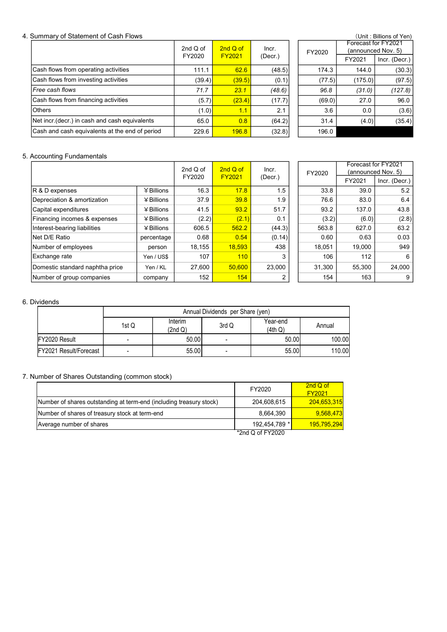#### 4. Summary of Statement of Cash Flows

|                                                | 2nd $Q$ of | 2nd Q of      | Incr.   | FY2020 | Forecast<br>(announo |
|------------------------------------------------|------------|---------------|---------|--------|----------------------|
|                                                | FY2020     | <b>FY2021</b> | (Decr.) |        | FY2021               |
| Cash flows from operating activities           | 111.1      | 62.6          | (48.5)  | 174.3  | 144.0                |
| Cash flows from investing activities           | (39.4)     | (39.5)        | (0.1)   | (77.5) | (175.0               |
| l <i>Free cash flows</i>                       | 71.7       | 23.1          | (48.6)  | 96.8   | (31.0)               |
| Cash flows from financing activities           | (5.7)      | (23.4)        | (17.7)  | (69.0) | 27.0                 |
| <b>O</b> thers                                 | (1.0)      | 1.1           | 2.1     | 3.6    | 0.0                  |
| Net incr (decr.) in cash and cash equivalents  | 65.0       | 0.8           | (64.2)  | 31.4   | (4.0)                |
| Cash and cash equivalents at the end of period | 229.6      | 196.8         | (32.8)  | 196.0  |                      |

|        |               |         |  |        |                                           | (Unit: Billions of Yen) |  |  |
|--------|---------------|---------|--|--------|-------------------------------------------|-------------------------|--|--|
| Q of   | $2ndQ$ of     | Incr.   |  | FY2020 | Forecast for FY2021<br>(announced Nov. 5) |                         |  |  |
| 020    | <b>FY2021</b> | (Decr.) |  |        | FY2021                                    | Incr. (Decr.)           |  |  |
| 111.1  | 62.6          | (48.5)  |  | 174.3  | 144.0                                     | (30.3)                  |  |  |
| (39.4) | (39.5)        | (0.1)   |  | (77.5) | (175.0)                                   | (97.5)                  |  |  |
| 71.7   | 23.1          | (48.6)  |  | 96.8   | (31.0)                                    | (127.8)                 |  |  |
| (5.7)  | (23.4)        | (17.7)  |  | (69.0) | 27.0                                      | 96.0                    |  |  |
| (1.0)  | 1.1           | 2.1     |  | 3.6    | 0.0                                       | (3.6)                   |  |  |
| 65.0   | 0.8           | (64.2)  |  | 31.4   | (4.0)                                     | (35.4)                  |  |  |
| 229.6  | 196.8         | (32.8)  |  | 196.0  |                                           |                         |  |  |

### 5. Accounting Fundamentals

|                                                                     |                |              | 2nd Q of           | 2nd Q of                         | Incr.               |                    | Forecast for FY2021 |                                     |
|---------------------------------------------------------------------|----------------|--------------|--------------------|----------------------------------|---------------------|--------------------|---------------------|-------------------------------------|
|                                                                     |                |              | FY2020             | FY2021                           | (Decr.)             | FY2020             | FY2021              | (announced Nov. 5)<br>Incr. (Decr.) |
| R & D expenses                                                      |                | ¥Billions    | 16.3               | 17.8                             | 1.5                 | 33.8               | 39.0                | $5.2$                               |
| Depreciation & amortization                                         |                | ¥ Billions   | 37.9               | 39.8                             | 1.9                 | 76.6               | 83.0                | 6.4                                 |
| Capital expenditures                                                |                | ¥ Billions   | 41.5               | 93.2                             | 51.7                | 93.2               | 137.0               | 43.8                                |
| Financing incomes & expenses                                        |                | ¥ Billions   | (2.2)              | (2.1)                            | 0.1                 | (3.2)              | (6.0)               | (2.8)                               |
| Interest-bearing liabilities                                        |                | $4$ Billions | 606.5              | 562.2                            | (44.3)              | 563.8              | 627.0               | 63.2                                |
| Net D/E Ratio                                                       |                | percentage   | 0.68               | 0.54                             | (0.14)              | 0.60               | 0.63                | 0.03                                |
| Number of employees                                                 |                | person       | 18,155             | 18,593                           | 438                 | 18,051             | 19,000              | 949                                 |
| Exchange rate                                                       |                | Yen / US\$   | 107                | 110                              | 3                   | 106                | 112                 | 6                                   |
| Domestic standard naphtha price                                     |                | Yen / KL     | 27,600             | 50,600                           | 23,000              | 31,300             | 55,300              | 24,000                              |
| Number of group companies                                           |                | company      | 152                | 154                              | 2                   | 154                | 163                 | 9                                   |
|                                                                     |                |              |                    |                                  |                     |                    |                     |                                     |
|                                                                     |                |              |                    | Annual Dividends per Share (yen) |                     |                    |                     |                                     |
|                                                                     | 1st Q          |              | Interim<br>(2nd Q) | 3rd Q                            | Year-end<br>(4th Q) | Annual             |                     |                                     |
| FY2020 Result                                                       |                |              | 50.00              |                                  | 50.00               |                    | 100.00              |                                     |
| FY2021 Result/Forecast                                              | $\overline{a}$ |              | 55.00              | $\blacksquare$                   | 55.00               |                    | 110.00              |                                     |
| Number of Shares Outstanding (common stock)                         |                |              |                    |                                  | FY2020              | 2nd Q of<br>FY2021 |                     |                                     |
| Number of shares outstanding at term-end (including treasury stock) |                |              |                    |                                  | 204,608,615         | 204,653,315        |                     |                                     |
| Number of shares of treasury stock at term-end                      |                |              |                    |                                  | 8,664,390           | 9,568,473          |                     |                                     |
| Average number of shares                                            |                |              |                    |                                  | 192,454,789 *       | 195,795,294        |                     |                                     |

|         |        | Forecast for FY2021 |                    |
|---------|--------|---------------------|--------------------|
| Incr.   | FY2020 |                     | (announced Nov. 5) |
| (Decr.) |        | FY2021              | Incr. (Decr.)      |
| 1.5     | 33.8   | 39.0                | 5.2                |
| 1.9     | 76.6   | 83.0                | 6.4                |
| 51.7    | 93.2   | 137.0               | 43.8               |
| 0.1     | (3.2)  | (6.0)               | (2.8)              |
| (44.3)  | 563.8  | 627.0               | 63.2               |
| (0.14)  | 0.60   | 0.63                | 0.03               |
| 438     | 18,051 | 19,000              | 949                |
| 3       | 106    | 112                 | 6                  |
| 23,000  | 31,300 | 55,300              | 24,000             |
| 2       | 154    | 163                 | 9                  |

# 6. Dividends

|                                                                            |                | $#$ Billions | 606.5              | 562.2                            | (44.3)              | 563.8                     | 627.0  | 63.2   |
|----------------------------------------------------------------------------|----------------|--------------|--------------------|----------------------------------|---------------------|---------------------------|--------|--------|
| let D/E Ratio                                                              |                | percentage   | 0.68               | 0.54                             | (0.14)              | 0.60                      | 0.63   | 0.03   |
| lumber of employees                                                        |                | person       | 18,155             | 18,593                           | 438                 | 18,051                    | 19,000 | 949    |
| xchange rate                                                               |                | Yen / US\$   | 107                | 110                              | 3                   | 106                       | 112    | 6      |
| omestic standard naphtha price                                             |                | Yen / KL     | 27,600             | 50,600                           | 23,000              | 31,300                    | 55,300 | 24,000 |
| lumber of group companies                                                  |                | company      | 152                | 154                              | 2                   | 154                       | 163    | 9      |
| vidends                                                                    |                |              |                    |                                  |                     |                           |        |        |
|                                                                            |                |              |                    | Annual Dividends per Share (yen) |                     |                           |        |        |
|                                                                            | 1st Q          |              | Interim<br>(2nd Q) | 3rd Q                            | Year-end<br>(4th Q) | Annual                    |        |        |
| FY2020 Result                                                              | $\blacksquare$ |              | 50.00              | $\blacksquare$                   | 50.00               | 100.00                    |        |        |
| FY2021 Result/Forecast                                                     | $\blacksquare$ |              | 55.00              | $\blacksquare$                   | 55.00               | 110.00                    |        |        |
| umber of Shares Outstanding (common stock)                                 |                |              |                    |                                  |                     |                           |        |        |
|                                                                            |                |              |                    |                                  | FY2020              | 2nd Q of<br><b>FY2021</b> |        |        |
| Number of shares outstanding at term-end (including treasury stock)        |                |              |                    |                                  | 204,608,615         | 204,653,315               |        |        |
|                                                                            |                |              |                    |                                  | 8,664,390           | 9,568,473                 |        |        |
| Number of shares of treasury stock at term-end<br>Average number of shares |                |              |                    |                                  | 192,454,789 *       | 195,795,294               |        |        |

### 7. Number of Shares Outstanding (common stock)

|                                                                     | FY2020           | 2nd Q of<br><b>FY2021</b> |
|---------------------------------------------------------------------|------------------|---------------------------|
| Number of shares outstanding at term-end (including treasury stock) | 204,608,615      | 204,653,315               |
| Number of shares of treasury stock at term-end                      | 8.664.390        | 9.568.473                 |
| Average number of shares                                            | 192.454.789 *    | 195,795,294               |
|                                                                     | *2nd Q of FY2020 |                           |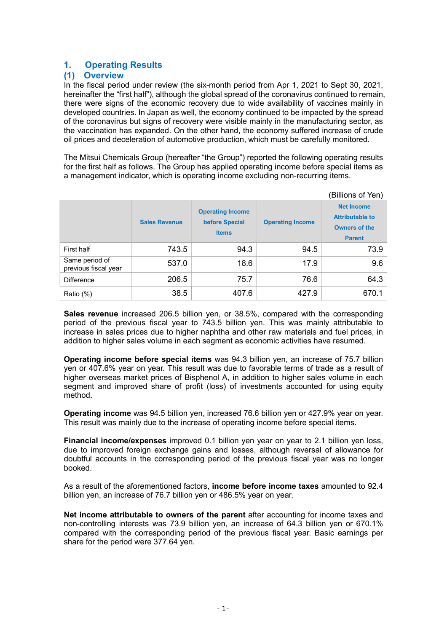# 1. Operating Results

# (1) Overview

In the fiscal period under review (the six-month period from Apr 1, 2021 to Sept 30, 2021, hereinafter the "first half"), although the global spread of the coronavirus continued to remain, there were signs of the economic recovery due to wide availability of vaccines mainly in developed countries. In Japan as well, the economy continued to be impacted by the spread of the coronavirus but signs of recovery were visible mainly in the manufacturing sector, as the vaccination has expanded. On the other hand, the economy suffered increase of crude oil prices and deceleration of automotive production, which must be carefully monitored.

The Mitsui Chemicals Group (hereafter "the Group") reported the following operating results for the first half as follows. The Group has applied operating income before special items as a management indicator, which is operating income excluding non-recurring items.

|                                        |                      |                                                           |                         | (Billions of Yen)                                                                    |  |
|----------------------------------------|----------------------|-----------------------------------------------------------|-------------------------|--------------------------------------------------------------------------------------|--|
|                                        | <b>Sales Revenue</b> | <b>Operating Income</b><br>before Special<br><b>Items</b> | <b>Operating Income</b> | <b>Net Income</b><br><b>Attributable to</b><br><b>Owners of the</b><br><b>Parent</b> |  |
| First half                             | 743.5                | 94.3                                                      | 94.5                    | 73.9                                                                                 |  |
| Same period of<br>previous fiscal year | 537.0                | 18.6                                                      | 17.9                    | 9.6                                                                                  |  |
| <b>Difference</b>                      | 206.5                | 75.7                                                      | 76.6                    | 64.3                                                                                 |  |
| Ratio (%)                              | 38.5                 | 407.6                                                     | 427.9                   | 670.1                                                                                |  |

Sales revenue increased 206.5 billion yen, or 38.5%, compared with the corresponding period of the previous fiscal year to 743.5 billion yen. This was mainly attributable to increase in sales prices due to higher naphtha and other raw materials and fuel prices, in addition to higher sales volume in each segment as economic activities have resumed.

Operating income before special items was 94.3 billion yen, an increase of 75.7 billion yen or 407.6% year on year. This result was due to favorable terms of trade as a result of higher overseas market prices of Bisphenol A, in addition to higher sales volume in each segment and improved share of profit (loss) of investments accounted for using equity method.

Operating income was 94.5 billion yen, increased 76.6 billion yen or 427.9% year on year. This result was mainly due to the increase of operating income before special items.

Financial income/expenses improved 0.1 billion yen year on year to 2.1 billion yen loss, due to improved foreign exchange gains and losses, although reversal of allowance for doubtful accounts in the corresponding period of the previous fiscal year was no longer booked.

As a result of the aforementioned factors, **income before income taxes** amounted to 92.4 billion yen, an increase of 76.7 billion yen or 486.5% year on year.

Net income attributable to owners of the parent after accounting for income taxes and non-controlling interests was 73.9 billion yen, an increase of 64.3 billion yen or 670.1% compared with the corresponding period of the previous fiscal year. Basic earnings per share for the period were 377.64 yen.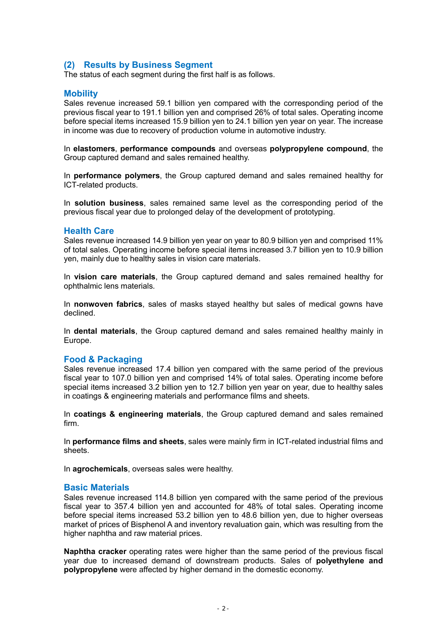# (2) Results by Business Segment

The status of each segment during the first half is as follows.

#### **Mobility**

Sales revenue increased 59.1 billion ven compared with the corresponding period of the previous fiscal year to 191.1 billion yen and comprised 26% of total sales. Operating income before special items increased 15.9 billion yen to 24.1 billion yen year on year. The increase in income was due to recovery of production volume in automotive industry.

In elastomers, performance compounds and overseas polypropylene compound, the Group captured demand and sales remained healthy.

In performance polymers, the Group captured demand and sales remained healthy for ICT-related products.

In solution business, sales remained same level as the corresponding period of the previous fiscal year due to prolonged delay of the development of prototyping.

#### Health Care

Sales revenue increased 14.9 billion yen year on year to 80.9 billion yen and comprised 11% of total sales. Operating income before special items increased 3.7 billion yen to 10.9 billion yen, mainly due to healthy sales in vision care materials.

In vision care materials, the Group captured demand and sales remained healthy for ophthalmic lens materials.

In nonwoven fabrics, sales of masks stayed healthy but sales of medical gowns have declined.

In dental materials, the Group captured demand and sales remained healthy mainly in Europe.

#### Food & Packaging

Sales revenue increased 17.4 billion yen compared with the same period of the previous fiscal year to 107.0 billion yen and comprised 14% of total sales. Operating income before special items increased 3.2 billion yen to 12.7 billion yen year on year, due to healthy sales in coatings & engineering materials and performance films and sheets.

In coatings & engineering materials, the Group captured demand and sales remained firm.

In **performance films and sheets**, sales were mainly firm in ICT-related industrial films and sheets.

In agrochemicals, overseas sales were healthy.

#### Basic Materials

Sales revenue increased 114.8 billion yen compared with the same period of the previous fiscal year to 357.4 billion yen and accounted for 48% of total sales. Operating income before special items increased 53.2 billion yen to 48.6 billion yen, due to higher overseas market of prices of Bisphenol A and inventory revaluation gain, which was resulting from the higher naphtha and raw material prices.

Naphtha cracker operating rates were higher than the same period of the previous fiscal year due to increased demand of downstream products. Sales of polyethylene and polypropylene were affected by higher demand in the domestic economy.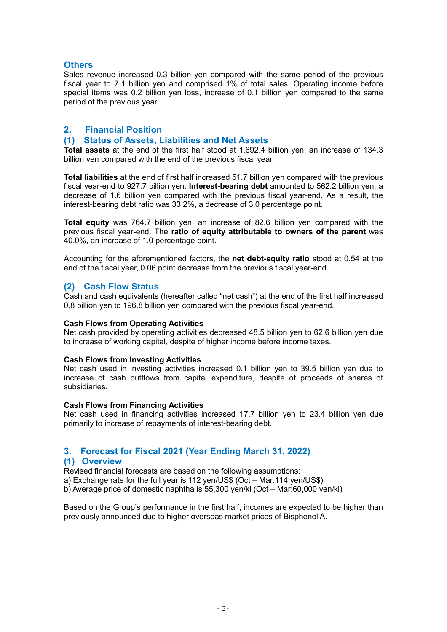# **Others**

Sales revenue increased 0.3 billion yen compared with the same period of the previous fiscal year to 7.1 billion yen and comprised 1% of total sales. Operating income before special items was 0.2 billion yen loss, increase of 0.1 billion yen compared to the same period of the previous year.

# 2. Financial Position

# (1) Status of Assets, Liabilities and Net Assets

Total assets at the end of the first half stood at 1,692.4 billion yen, an increase of 134.3 billion yen compared with the end of the previous fiscal year.

Total liabilities at the end of first half increased 51.7 billion yen compared with the previous fiscal year-end to 927.7 billion yen. Interest-bearing debt amounted to 562.2 billion yen, a decrease of 1.6 billion yen compared with the previous fiscal year-end. As a result, the interest-bearing debt ratio was 33.2%, a decrease of 3.0 percentage point.

Total equity was 764.7 billion yen, an increase of 82.6 billion yen compared with the previous fiscal year-end. The ratio of equity attributable to owners of the parent was 40.0%, an increase of 1.0 percentage point.

Accounting for the aforementioned factors, the net debt-equity ratio stood at 0.54 at the end of the fiscal year, 0.06 point decrease from the previous fiscal year-end.

# (2) Cash Flow Status

Cash and cash equivalents (hereafter called "net cash") at the end of the first half increased 0.8 billion yen to 196.8 billion yen compared with the previous fiscal year-end.

#### Cash Flows from Operating Activities

Net cash provided by operating activities decreased 48.5 billion yen to 62.6 billion yen due to increase of working capital, despite of higher income before income taxes.

#### Cash Flows from Investing Activities

Net cash used in investing activities increased 0.1 billion yen to 39.5 billion yen due to increase of cash outflows from capital expenditure, despite of proceeds of shares of subsidiaries.

#### Cash Flows from Financing Activities

Net cash used in financing activities increased 17.7 billion yen to 23.4 billion yen due primarily to increase of repayments of interest-bearing debt.

# 3. Forecast for Fiscal 2021 (Year Ending March 31, 2022)

# (1) Overview

Revised financial forecasts are based on the following assumptions:

a) Exchange rate for the full year is 112 yen/US\$ (Oct – Mar:114 yen/US\$)

b) Average price of domestic naphtha is 55,300 yen/kl (Oct – Mar:60,000 yen/kl)

Based on the Group's performance in the first half, incomes are expected to be higher than previously announced due to higher overseas market prices of Bisphenol A.